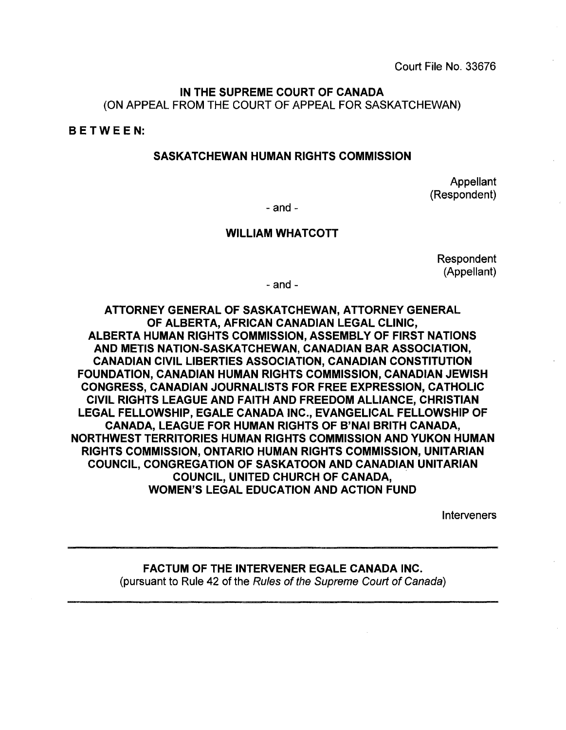Court File No. 33676

### IN THE SUPREME COURT OF CANADA (ON APPEAL FROM THE COURT OF APPEAL FOR SASKATCHEWAN)

BETWE E N:

### SASKATCHEWAN HUMAN RIGHTS COMMISSION

Appellant (Respondent)

 $-$  and  $-$ 

### WILLIAM WHATCOTT

Respondent (Appellant)

- and -

ATTORNEY GENERAL OF SASKATCHEWAN, ATTORNEY GENERAL OF ALBERTA, AFRICAN CANADIAN LEGAL CLINIC, ALBERTA HUMAN RIGHTS COMMISSION, ASSEMBLY OF FIRST NATIONS AND METIS NATION-SASKATCHEWAN, CANADIAN BAR ASSOCIATION, CANADIAN CIVIL LIBERTIES ASSOCIATION, CANADIAN CONSTITUTION FOUNDATION, CANADIAN HUMAN RIGHTS COMMISSION, CANADIAN JEWISH CONGRESS, CANADIAN JOURNALISTS FOR FREE EXPRESSION, CATHOLIC CIVIL RIGHTS LEAGUE AND FAITH AND FREEDOM ALLIANCE, CHRISTIAN LEGAL FELLOWSHIP, EGALE CANADA INC., EVANGELICAL FELLOWSHIP OF CANADA, LEAGUE FOR HUMAN RIGHTS OF B'NAI BRITH CANADA, NORTHWEST TERRITORIES HUMAN RIGHTS COMMISSION AND YUKON HUMAN RIGHTS COMMISSION, ONTARIO HUMAN RIGHTS COMMISSION, UNITARIAN COUNCIL, CONGREGATION OF SASKATOON AND CANADIAN UNITARIAN COUNCIL, UNITED CHURCH OF CANADA, WOMEN'S LEGAL EDUCATION AND ACTION FUND

**Interveners** 

### FACTUM OF THE INTERVENER EGALE CANADA INC. (pursuant to Rule 42 of the Rules of the Supreme Court of Canada)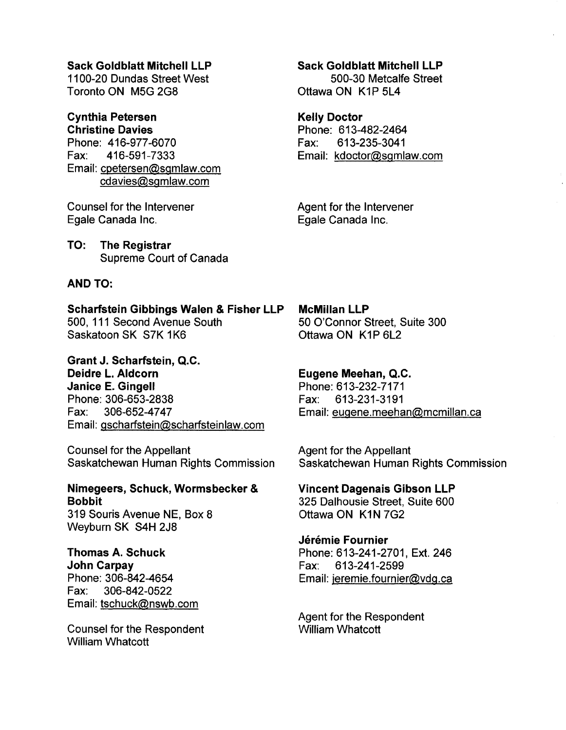### Sack Goldblatt Mitchell LLP

1100-20 Dundas Street West Toronto ON M5G 2G8

#### Cynthia Petersen Christine Davies

Phone: 416-977-6070 Fax: 416-591-7333 Email: cpetersen@sgmlaw.com cdavies@sgmlaw.com

Counsel for the Intervener Egale Canada Inc.

TO: The Registrar Supreme Court of Canada

### AND TO:

Scharfstein Gibbings Walen & Fisher LLP 500, 111 Second Avenue South Saskatoon SK S7K 1K6

Grant J. Scharfstein, Q.C. Deidre L. Aldcorn Janice E. Gingell Phone: 306-653-2838 Fax: 306-652-4747 Email: gscharfstein@scharfsteinlaw.com

Counsel for the Appellant Saskatchewan Human Rights Commission

# Nimegeers, Schuck, Wormsbecker & Bobbit

319 Souris Avenue NE, Box 8 Weyburn SK S4H 2J8

### Thomas A. Schuck John Carpay Phone: 306-842-4654

Fax: 306-842-0522 Email: tschuck@nswb.com

Counsel for the Respondent William Whatcott

### Sack Goldblatt Mitchell LLP

500-30 Metcalfe Street Ottawa ON K1P 5L4

### Kelly Doctor

Phone: 613-482-2464 Fax: 613-235-3041 Email: kdoctor@sgmlaw.com

Agent for the Intervener Egale Canada Inc.

McMillan LLP 50 O'Connor Street, Suite 300 Ottawa ON K1P 6L2

### Eugene Meehan, Q.C.

Phone: 613-232-7171 Fax: 613-231-3191 Email: eugene.meehan@mcmillan.ca

Agent for the Appellant Saskatchewan Human Rights Commission

Vincent Dagenais Gibson LLP 325 Dalhousie Street, Suite 600 Ottawa ON K1N 7G2

### Jérémie Fournier

Phone: 613-241-2701, Ext. 246 Fax: 613-241-2599 Email: jeremie.fournier@vdg.ca

Agent for the Respondent William Whatcott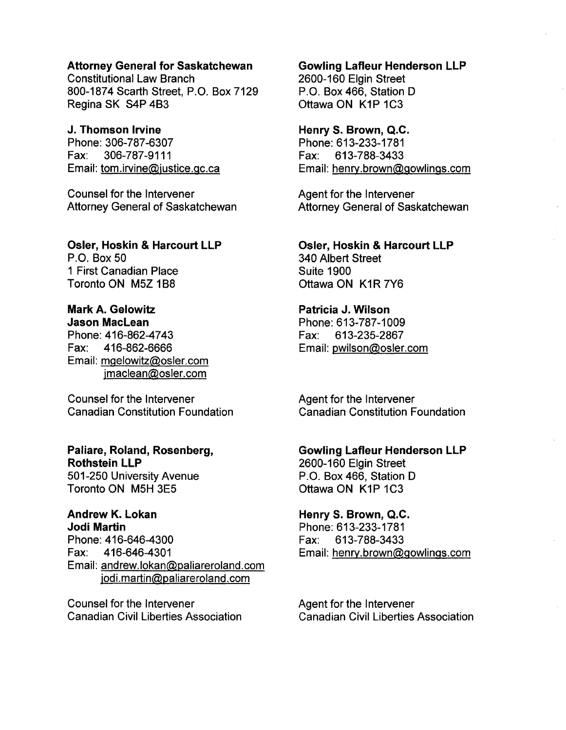### Attorney General for Saskatchewan

Constitutional Law Branch 800-1874 Scarth Street, P.O. Box 7129 Regina SK S4P 4B3

### J. Thomson Irvine

Phone: 306-787-6307 Fax: 306-787-9111 Email: tom.irvine@justice.gc.ca

Counsel for the Intervener Attorney General of Saskatchewan

# Osler, Hoskin & Harcourt LLP

P.O. Box 50 1 First Canadian Place Toronto ON M5Z 1B8

Mark A. Gelowitz Jason MacLean Phone: 416-862-4743 Fax: 416-862-6666 Email: mgelowitz@osler.com jmaclean@osler.com

Counsel for the Intervener Canadian Constitution Foundation

## Paliare, Roland, Rosenberg, Rothstein LLP

501-250 University Avenue Toronto ON M5H 3E5

### Andrew K. Lokan Jodi Martin

Phone: 416-646-4300 Fax: 416-646-4301 Email: andrew.lokan@paliareroland.com jodi.martin@paliareroland.com

Counsel for the Intervener Canadian Civil Liberties Association

### Gowling Lafleur Henderson LLP

2600-160 Elgin Street P.O. Box 466, Station D Ottawa ON K1P 1C3

### Henry S. Brown, Q.C.

Phone: 613-233-1781 Fax: 613-788-3433 Email: henry.brown@gowlings.com

Agent for the Intervener Attorney General of Saskatchewan

### Osler, Hoskin & Harcourt LLP

340 Albert Street Suite 1900 Ottawa ON K1R 7Y6

### Patricia J. Wilson

Phone: 613-787-1009 Fax: 613-235-2867 Email: pwilson@osler.com

Agent for the Intervener Canadian Constitution Foundation

### Gowling Lafleur Henderson LLP

2600-160 Elgin Street P.O. Box 466, Station D Ottawa ON K1P 1C3

### Henry S. Brown, Q.C.

Phone: 613-233-1781 Fax: 613-788-3433 Email: henry.brown@gowlings.com

Agent for the Intervener Canadian Civil Liberties Association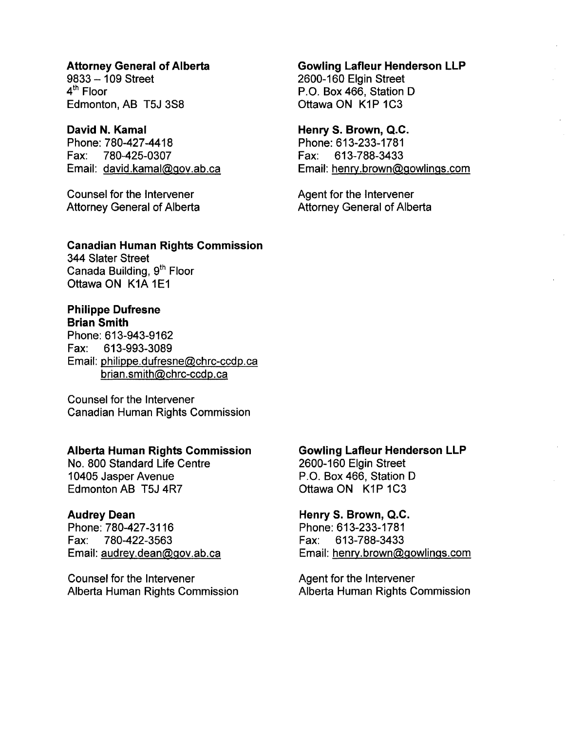### Attorney General of Alberta

 $9833 - 109$  Street 4<sup>th</sup> Floor Edmonton, AB T5J 3S8

### David N. Kamal

Phone: 780-427-4418 Fax: 780-425-0307 Email: david.kamal@gov.ab.ca

Counsel for the Intervener Attorney General of Alberta

### Canadian Human Rights Commission

344 Slater Street Canada Building, 9<sup>th</sup> Floor Ottawa ON K1A 1E1

### Philippe Dufresne

Brian Smith

Phone: 613-943-9162 Fax: 613-993-3089 Email: philippe.dufresne@chrc-ccdp.ca brian.smith@chrc-ccdp.ca

Counsel for the Intervener Canadian Human Rights Commission

#### Alberta Human Rights Commission

No. 800 Standard Life Centre 10405 Jasper Avenue Edmonton AB T5J 4R7

#### Audrey Dean

Phone: 780-427-3116 Fax: 780-422-3563 Email: audrey.dean@gov.ab.ca

Counsel for the Intervener Alberta Human Rights Commission

### Gowling Lafleur Henderson LLP

2600-160 Elgin Street P.O. Box 466, Station D Ottawa ON K1P 1C3

### Henry S. Brown, Q.C.

Phone: 613-233-1781 Fax: 613-788-3433 Email: henrv.brown@gowlings.com

Agent for the Intervener Attorney General of Alberta

#### Gowling Lafleur Henderson LLP

2600-160 Elgin Street P.O. Box 466, Station D Ottawa ON K1P 1C3

#### Henry S. Brown, Q.C.

Phone: 613-233-1781 Fax: 613-788-3433 Email: henry.brown@gowlings.com

Agent for the Intervener Alberta Human Rights Commission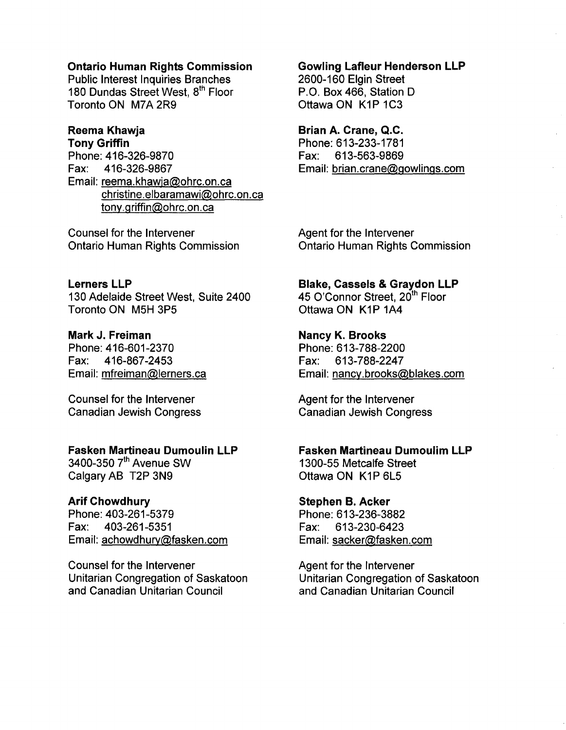### Ontario Human Rights Commission

Public Interest Inquiries Branches 180 Dundas Street West, 8<sup>th</sup> Floor Toronto ON M7A 2R9

#### Reema Khawja Tony Griffin

Phone: 416-326-9870<br>Fax: 416-326-9867 Fax: 416-326-9867 Email: reema.khawja@ohrc.on.ca christine.elbaramawi@ohrc.on.ca tony.griffin@ohrc.on.ca

Counsel for the Intervener Ontario Human Rights Commission

Lerners LLP 130 Adelaide Street West, Suite 2400 Toronto ON M5H 3P5

Mark J. Freiman Phone: 416-601-2370 Fax: 416-867 -2453 Email: mfreiman@lerners.ca

Counsel for the Intervener Canadian Jewish Congress

### Fasken Martineau Dumoulin LLP

3400-350 7<sup>th</sup> Avenue SW Calgary AB T2P 3N9

### Arif Chowdhury

Phone: 403-261-5379 Fax: 403-261-5351 Email: achowdhury@fasken.com

Counsel for the Intervener Unitarian Congregation of Saskatoon and Canadian Unitarian Council

### Gowling Lafleur Henderson LLP

2600-160 Elgin Street P.O. Box 466, Station D Ottawa ON K1P 1C3

### Brian A. Crane, Q.C.

Phone: 613-233-1781 Fax: 613-563-9869 Email: brian.crane@gowlings.com

Agent for the Intervener Ontario Human Rights Commission

Blake, Cassels & Graydon LLP

45 O'Connor Street, 20<sup>th</sup> Floor Ottawa ON K1P 1A4

Nancy K. Brooks

Phone: 613-788-2200 Fax: 613-788-2247 Email: nancy.brooks@blakes.com

Agent for the Intervener Canadian Jewish Congress

Fasken Martineau Dumoulim LLP 1300-55 Metcalfe Street

Ottawa ON K1P 6L5

Stephen B. Acker Phone: 613-236-3882 Fax: 613-230-6423 Email: sacker@fasken.com

Agent for the Intervener Unitarian Congregation of Saskatoon and Canadian Unitarian Council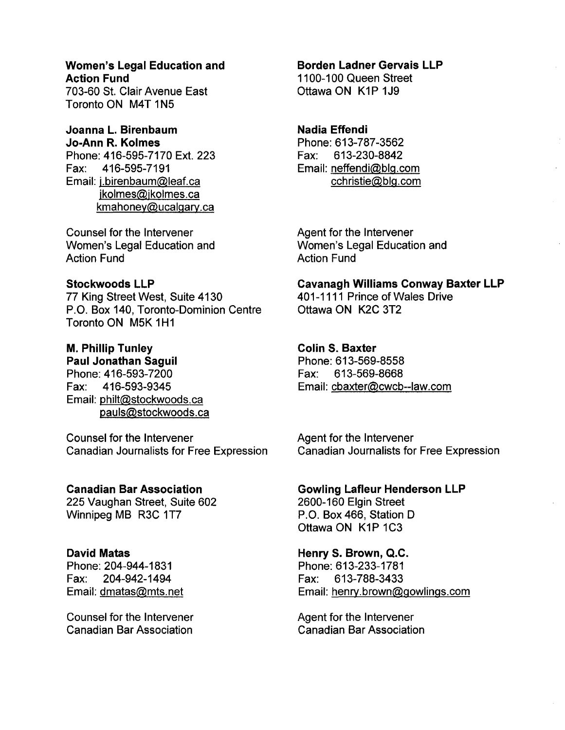### Women's Legal Education and Action Fund

703-60 St. Clair Avenue East Toronto ON M4T 1N5

#### Joanna L. Birenbaum Jo-Ann R. Kolmes

Phone: 416-595-7170 Ext. 223 Fax: 416-595-7191 Email: j.birenbaum@leaf.ca jkolmes@ikolmes.ca kmahoney@ucalgary.ca

Counsel for the Intervener Women's Legal Education and Action Fund

### Stockwoods LLP

77 King Street West, Suite 4130 P.O. Box 140, Toronto-Dominion Centre Toronto ON M5K 1H1

# M. Phillip Tunley

Paul Jonathan Saguil Phone: 416-593-7200 Fax: 416-593-9345 Email: philt@stockwoods.ca pauls@stockwoods.ca

Counsel for the Intervener Canadian Journalists for Free Expression

### Canadian Bar Association

225 Vaughan Street, Suite 602 Winnipeg MB R3C 1T7

### David Matas

Phone: 204-944-1831 Fax: 204-942-1494 Email: dmatas@mts.net

Counsel for the Intervener Canadian Bar Association

### Borden Ladner Gervais LLP

1100-100 Queen Street Ottawa ON K1P 1J9

### Nadia Effendi

Phone: 613-787-3562 Fax: 613-230-8842 Email: neffendi@blg.com cchristie@blg.com

Agent for the Intervener Women's Legal Education and Action Fund

Cavanagh Williams Conway Baxter LLP 401-1111 Prince of Wales Drive Ottawa ON K2C 3T2

### Colin S. Baxter

Phone: 613-569-8558 Fax: 613-569-8668 Email: cbaxter@cwcb--Iaw.com

Agent for the Intervener Canadian Journalists for Free Expression

Gowling Lafleur Henderson LLP 2600-160 Elgin Street P.O. Box 466, Station D Ottawa ON K1P 1C3

Henry S. Brown, Q.C. Phone: 613-233-1781 Fax: 613-788-3433 Email: henry.brown@gowlings.com

Agent for the Intervener Canadian Bar Association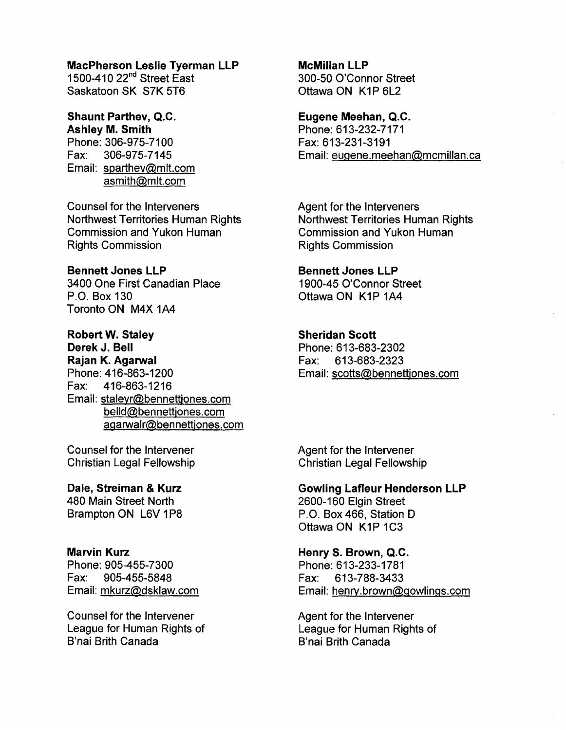#### MacPherson Leslie Tyerman LLP

1500-410 22<sup>nd</sup> Street East Saskatoon SK S7K 5T6

# Shaunt Parthev, Q.C. Ashley M. Smith

Phone: 306-975~71 00 Fax: 306-975-7145 Email: sparthev@mlt.com asmith@mlt.com

Counsel for the Interveners Northwest Territories Human Rights Commission and Yukon Human Rights Commission

### Bennett Jones LLP

3400 One First Canadian Place P.O. Box 130 Toronto ON M4X 1A4

### Robert W. Staley

Derek J. Bell Rajan K. Agarwal Phone: 416-863-1200 Fax: 416-863-1216 Email: staleyr@bennettjones.com belld@bennettjones.com agarwalr@bennettjones.com

Counsel for the Intervener Christian Legal Fellowship

Dale, Streiman & Kurz 480 Main Street North Brampton ON L6V 1P8

### Marvin Kurz

Phone: 905-455-7300 Fax: 905-455-5848 Email: mkurz@dsklaw.com

Counsel for the Intervener League for Human Rights of B'nai Brith Canada

### McMillan LLP

300-50 O'Connor Street Ottawa ON K1P 6L2

### Eugene Meehan, Q.C.

Phone: 613-232-7171 Fax: 613-231-3191 Email: eugene.meehan@mcmillan.ca

Agent for the Interveners Northwest Territories Human Rights Commission and Yukon Human Rights Commission

### Bennett Jones LLP

1900-45 O'Connor Street Ottawa ON K1P 1A4

### Sheridan Scott

Phone: 613-683-2302 Fax: 613-683-2323 Email: scotts@bennettjones.com

Agent for the Intervener Christian Legal Fellowship

Gowling Lafleur Henderson LLP 2600-160 Elgin Street P.O. Box 466, Station D Ottawa ON K1P 1C3

Henry S. Brown, Q.C. Phone: 613-233-1781 Fax: 613-788-3433 Email: henrv.brown@gowlings.com

Agent for the Intervener League for Human Rights of B'nai Brith Canada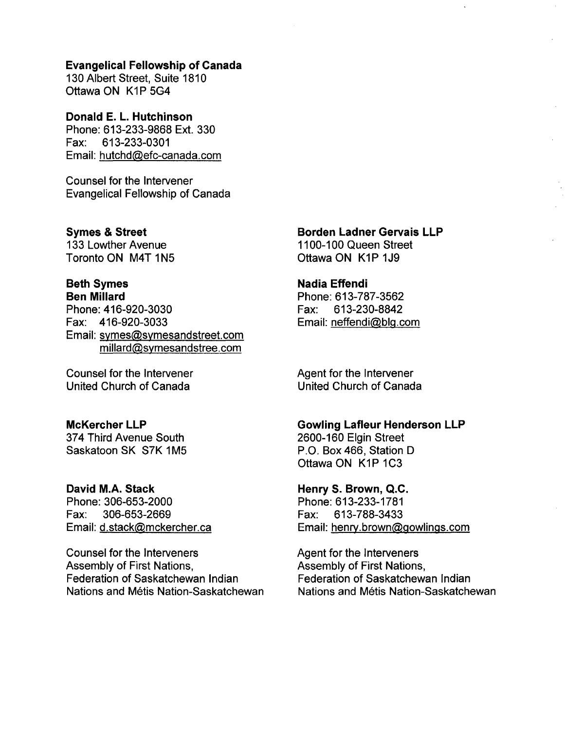#### Evangelical Fellowship of Canada

130 Albert Street, Suite 1810 Ottawa ON K1P 5G4

Donald E. L. Hutchinson Phone: 613-233-9868 Ext. 330 Fax: 613-233-0301 Email: hutchd@efc-canada.com

Counsel for the Intervener Evangelical Fellowship of Canada

Symes & Street 133 Lowther Avenue Toronto ON M4T 1N5

### Beth Symes Ben Millard

Phone: 416-920-3030 Fax: 416-920-3033 Email: symes@symesandstreet.com millard@symesandstree.com

Counsel for the Intervener United Church of Canada

### McKercher LLP

374 Third Avenue South Saskatoon SK S7K 1M5

### David M.A. Stack

Phone: 306-653-2000 Fax: 306-653-2669 Email: d.stack@mckercher.ca

Counsel for the Interveners Assembly of First Nations, Federation of Saskatchewan Indian Nations and Métis Nation-Saskatchewan Borden Ladner Gervais LLP 1100-100 Queen Street

Ottawa ON K1P 1J9

### Nadia Effendi

Phone: 613-787-3562 Fax: 613-230-8842 Email: neffendi@blg.com

Agent for the Intervener United Church of Canada

### Gowling Lafleur Henderson LLP

2600-160 Elgin Street P.O. Box 466, Station D Ottawa ON K1P 1C3

Henry S. Brown, Q.C. Phone: 613-233-1781 Fax: 613-788-3433 Email: henrv.brown@gowlings.com

Agent for the Interveners Assembly of First Nations, Federation of Saskatchewan Indian Nations and Metis Nation-Saskatchewan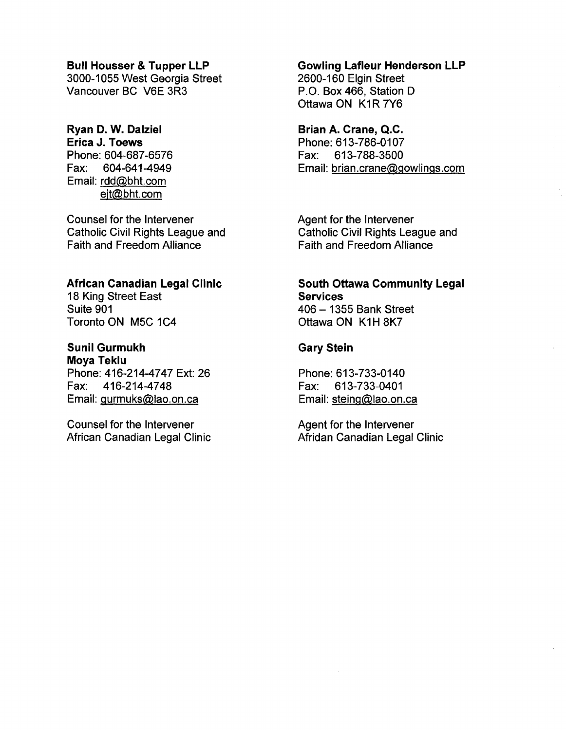### Bull Housser & Tupper LLP

3000-1055 West Georgia Street Vancouver BC V6E 3R3

# Ryan D. W. Dalziel

Erica J. Toews Phone: 604-687-6576 Fax: 604-641-4949 Email: rdd@bht.com ejt@bht.com

Counsel for the Intervener Catholic Civil Rights League and Faith and Freedom Alliance

### African Canadian Legal Clinic

18 King Street East Suite 901 Toronto ON M5C 1C4

# Sunil Gurmukh

Moya Teklu Phone: 416-214-4747 Ext: 26 Fax: 416-214-4748 Email: gurmuks@lao.on.ca

Counsel for the Intervener African Canadian Legal Clinic

### Gowling Lafleur Henderson LLP

2600-160 Elgin Street P.O. Box 466, Station D Ottawa ON K1R 7Y6

### Brian A. Crane, Q.C.

Phone: 613-786-0107 Fax: 613-788-3500 Email: brian.crane@gowlings.com

Agent for the Intervener Catholic Civil Rights League and Faith and Freedom Alliance

### South Ottawa Community Legal **Services** 406 - 1355 Bank Street

Ottawa ON K1H 8K7

### Gary Stein

Phone: 613-733-0140 Fax: 613-733-0401 Email: steing@lao.on.ca

Agent for the Intervener Afridan Canadian Legal Clinic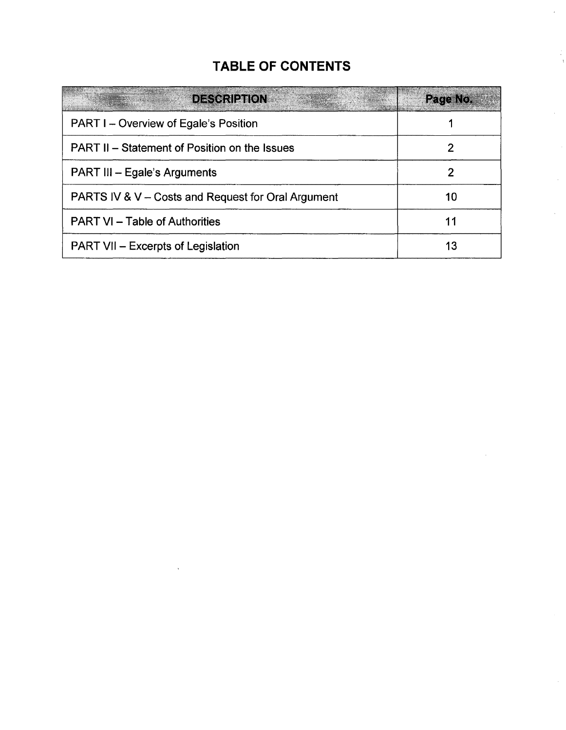# **TABLE OF CONTENTS**

| <b>DESCRIPTION</b>                                   | Page No. |
|------------------------------------------------------|----------|
| <b>PART I – Overview of Egale's Position</b>         |          |
| <b>PART II – Statement of Position on the Issues</b> |          |
| <b>PART III - Egale's Arguments</b>                  |          |
| PARTS IV & V – Costs and Request for Oral Argument   | 10       |
| <b>PART VI – Table of Authorities</b>                | 11       |
| <b>PART VII - Excerpts of Legislation</b>            | 13       |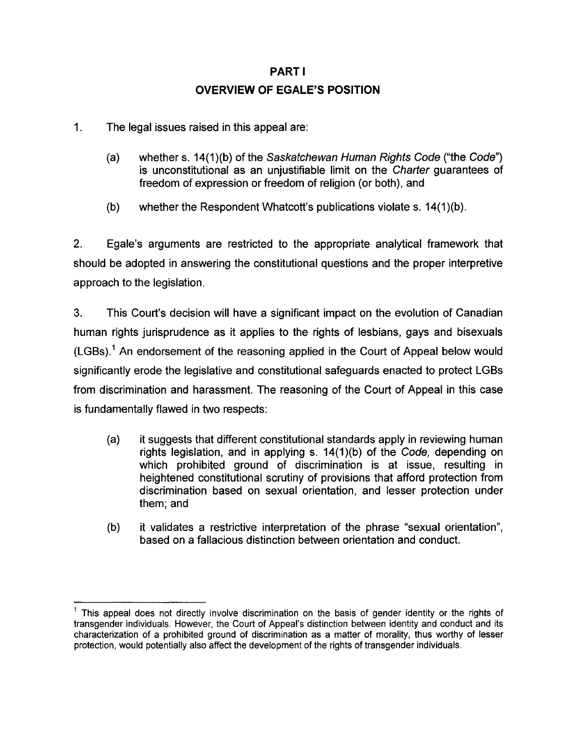# PART I **OVERVIEW OF EGALE'S POSITION**

- 1. The legal issues raised in this appeal are:
	- (a) whether s. 14(1)(b) of the Saskatchewan Human Rights Code ("the Code") is unconstitutional as an unjustifiable limit on the Charter guarantees of freedom of expression or freedom of religion (or both), and
	- (b) whether the Respondent Whatcott's publications violate s. 14(1)(b).

2. Egale's arguments are restricted to the appropriate analytical framework that should be adopted in answering the constitutional questions and the proper interpretive approach to the legislation.

3. This Court's decision will have a significant impact on the evolution of Canadian human rights jurisprudence as it applies to the rights of lesbians, gays and bisexuals  $(LGBs).<sup>1</sup>$  An endorsement of the reasoning applied in the Court of Appeal below would significantly erode the legislative and constitutional safeguards enacted to protect LGBs from discrimination and harassment. The reasoning of the Court of Appeal in this case is fundamentally flawed in two respects:

- (a) it suggests that different constitutional standards apply in reviewing human rights legislation, and in applying s. 14(1)(b) of the Code, depending on which prohibited ground of discrimination is at issue, resulting in heightened constitutional scrutiny of provisions that afford protection from discrimination based on sexual orientation, and lesser protection under them; and
- (b) it validates a restrictive interpretation of the phrase "sexual orientation", based on a fallacious distinction between orientation and conduct.

<sup>1</sup> This appeal does not directly involve discrimination on the basis of gender identity or the rights of transgender individuals. However, the Court of Appeal's distinction between identity and conduct and its characterization of a prohibited ground of discrimination as a matter of morality, thus worthy of lesser protection, would potentially also affect the development of the rights of transgender individuals.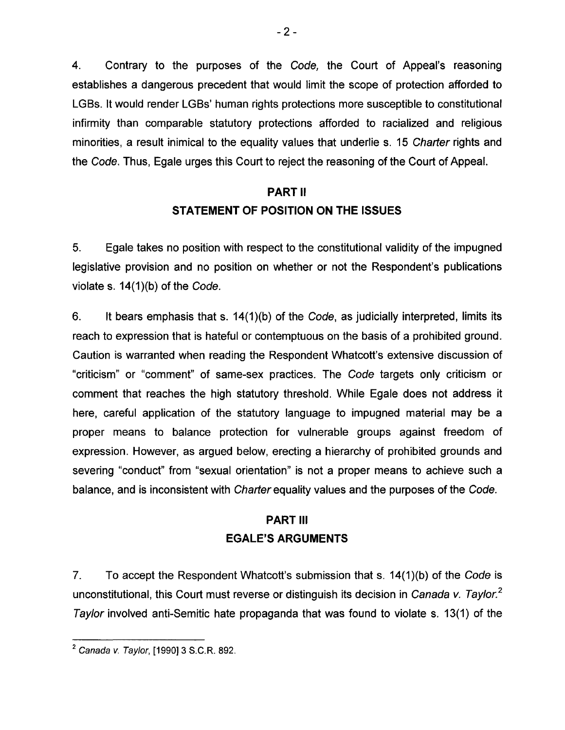4. Contrary to the purposes of the Code, the Court of Appeal's reasoning establishes a dangerous precedent that would limit the scope of protection afforded to LGBs. It would render LGBs' human rights protections more susceptible to constitutional infirmity than comparable statutory protections afforded to racialized and religious minorities, a result inimical to the equality values that underlie s. 15 Charter rights and the Code. Thus, Egale urges this Court to reject the reasoning of the Court of Appeal.

# **PART II STATEMENT OF POSITION ON THE ISSUES**

5. Egale takes no position with respect to the constitutional validity of the impugned legislative provision and no position on whether or not the Respondent's publications violate s. 14(1)(b) of the Code.

6. It bears emphasis that s. 14(1)(b) of the Code, as judicially interpreted, limits its reach to expression that is hateful or contemptuous on the basis of a prohibited ground. Caution is warranted when reading the Respondent Whatcott's extensive discussion of "criticism" or "comment" of same-sex practices. The Code targets only criticism or comment that reaches the high statutory threshold. While Egale does not address it here, careful application of the statutory language to impugned material may be a proper means to balance protection for vulnerable groups against freedom of expression. However, as argued below, erecting a hierarchy of prohibited grounds and severing "conduct" from "sexual orientation" is not a proper means to achieve such a balance, and is inconsistent with Charter equality values and the purposes of the Code.

# **PART III EGALE'S ARGUMENTS**

7. To accept the Respondent Whatcott's submission that s. 14(1)(b) of the Code is unconstitutional, this Court must reverse or distinguish its decision in Canada v. Taylor.<sup>2</sup> Tay/or involved anti-Semitic hate propaganda that was found to violate s. 13(1) of the

<sup>2</sup> Canada v. Tay/or, [1990] 3 S.C.R. 892.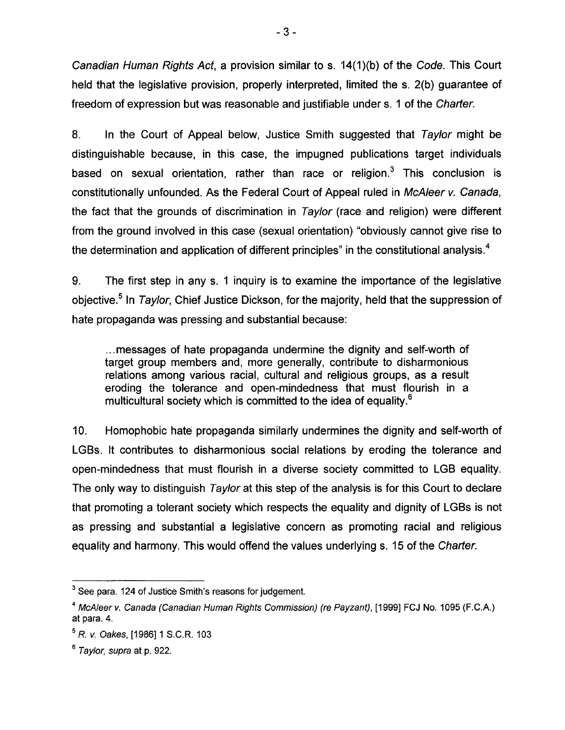Canadian Human Rights Act, a provision similar to s. 14(1)(b) of the Code. This Court held that the legislative provision, properly interpreted, limited the s. 2(b) guarantee of freedom of expression but was reasonable and justifiable under s. 1 of the Charter.

8. In the Court of Appeal below, Justice Smith suggested that Taylor might be distinguishable because, in this case, the impugned publications target individuals based on sexual orientation, rather than race or religion.<sup>3</sup> This conclusion is constitutionally unfounded. As the Federal Court of Appeal ruled in McAleer v. Canada, the fact that the grounds of discrimination in Tay/or (race and religion) were different from the ground involved in this case (sexual orientation) "obviously cannot give rise to the determination and application of different principles" in the constitutional analysis.<sup>4</sup>

9. The first step in any s. 1 inquiry is to examine the importance of the legislative objective.<sup>5</sup> In Taylor, Chief Justice Dickson, for the majority, held that the suppression of hate propaganda was pressing and substantial because:

... messages of hate propaganda undermine the dignity and self-worth of target group members and, more generally, contribute to disharmonious relations among various racial, cultural and religious groups, as a result eroding the tolerance and open-mindedness that must flourish in a multicultural society which is committed to the idea of equality.<sup>6</sup>

10. Homophobic hate propaganda similarly undermines the dignity and self-worth of LGBs. It contributes to disharmonious social relations by eroding the tolerance and open-mindedness that must flourish in a diverse society committed to LGB equality. The only way to distinguish Taylor at this step of the analysis is for this Court to declare that promoting a tolerant society which respects the equality and dignity of LGBs is not as pressing and substantial a legislative concern as promoting racial and religious equality and harmony. This would offend the values underlying s. 15 of the Charter.

<sup>&</sup>lt;sup>3</sup> See para. 124 of Justice Smith's reasons for judgement.

<sup>&</sup>lt;sup>4</sup> McAleer v. Canada (Canadian Human Rights Commission) (re Payzant), [1999] FCJ No. 1095 (F.C.A.) at para. 4.

<sup>5</sup> *R. v.* Oakes, [1986] 1 S.C.R. 103

<sup>6</sup> Taylor, supra at p. 922.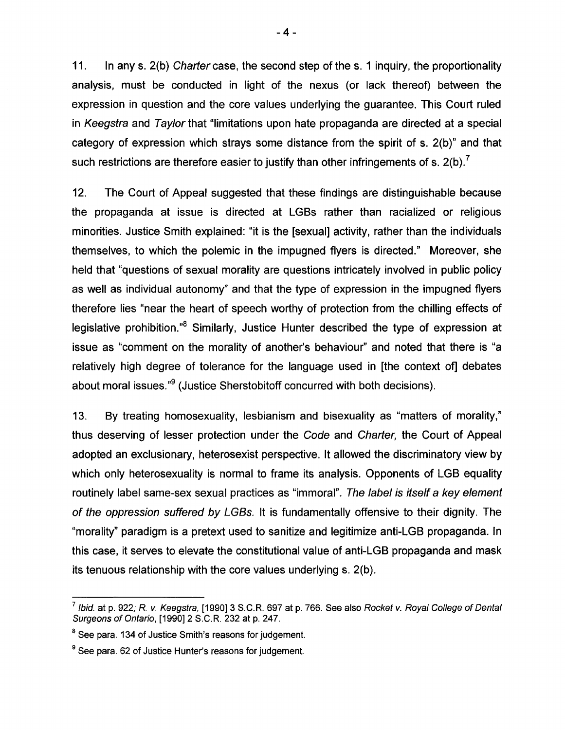11. In any s. 2(b) Charter case, the second step of the s. 1 inquiry, the proportionality analysis, must be conducted in light of the nexus (or lack thereof) between the expression in question and the core values underlying the guarantee. This Court ruled in Keegstra and Taylor that "limitations upon hate propaganda are directed at a special category of expression which strays some distance from the spirit of s. 2(b)" and that such restrictions are therefore easier to justify than other infringements of s.  $2(b)$ .<sup>7</sup>

12. The Court of Appeal suggested that these findings are distinguishable because the propaganda at issue is directed at LGBs rather than racialized or religious minorities. Justice Smith explained: "it is the [sexual] activity, rather than the individuals themselves, to which the polemic in the impugned flyers is directed." Moreover, she held that "questions of sexual morality are questions intricately involved in public policy as well as individual autonomy" and that the type of expression in the impugned flyers therefore lies "near the heart of speech worthy of protection from the chilling effects of legislative prohibition."<sup>8</sup> Similarly, Justice Hunter described the type of expression at issue as "comment on the morality of another's behaviour" and noted that there is "a relatively high degree of tolerance for the language used in [the context of] debates about moral issues."<sup>9</sup> (Justice Sherstobitoff concurred with both decisions).

13. By treating homosexuality, lesbianism and bisexuality as "matters of morality," thus deserving of lesser protection under the Code and Charter, the Court of Appeal adopted an exclusionary, heterosexist perspective. It allowed the discriminatory view by which only heterosexuality is normal to frame its analysis. Opponents of LGB equality routinely label same-sex sexual practices as "immoral". The label is itself a key element of the oppression suffered by LGBs. It is fundamentally offensive to their dignity. The "morality" paradigm is a pretext used to sanitize and legitimize anti-LGB propaganda. In this case, it serves to elevate the constitutional value of anti-LGB propaganda and mask its tenuous relationship with the core values underlying s. 2(b).

*<sup>7</sup>*Ibid. at p. 922; R. v. Keegstra, [1990] 3 S.C.R. 697 at p. 766. See also Rocket v. Royal College of Dental Surgeons of Ontario, [1990] 2 S.C.R. 232 at p. 247.

<sup>&</sup>lt;sup>8</sup> See para. 134 of Justice Smith's reasons for judgement.

<sup>&</sup>lt;sup>9</sup> See para. 62 of Justice Hunter's reasons for judgement.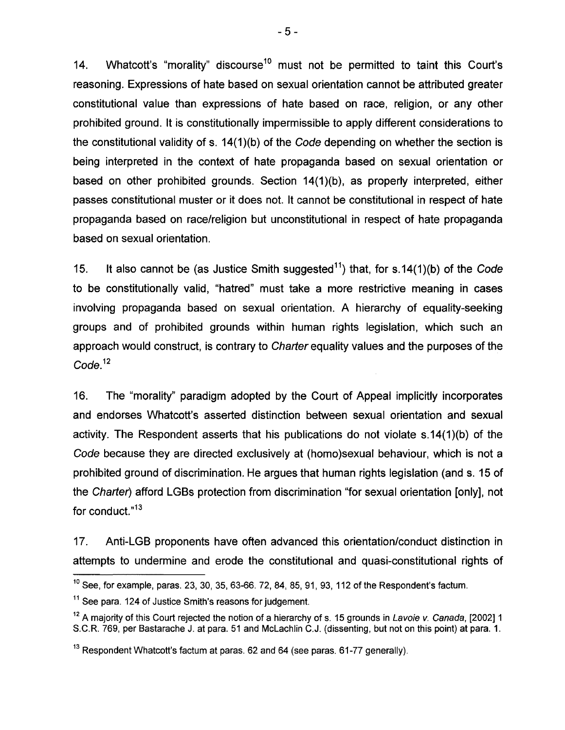14. Whatcott's "morality" discourse<sup>10</sup> must not be permitted to taint this Court's reasoning. Expressions of hate based on sexual orientation cannot be attributed greater constitutional value than expressions of hate based on race, religion, or any other prohibited ground. It is constitutionally impermissible to apply different considerations to the constitutional validity of s. 14(1)(b) of the Code depending on whether the section is being interpreted in the context of hate propaganda based on sexual orientation or based on other prohibited grounds. Section 14(1)(b), as properly interpreted, either passes constitutional muster or it does not. It cannot be constitutional in respect of hate propaganda based on race/religion but unconstitutional in respect of hate propaganda based on sexual orientation.

15. It also cannot be (as Justice Smith suggested<sup>11</sup>) that, for s.14(1)(b) of the Code to be constitutionally valid, "hatred" must take a more restrictive meaning in cases involving propaganda based on sexual orientation. A hierarchy of equality-seeking groups and of prohibited grounds within human rights legislation, which such an approach would construct, is contrary to Charier equality values and the purposes of the Code<sup>12</sup>

16. The "morality" paradigm adopted by the Court of Appeal implicitly incorporates and endorses Whatcott's asserted distinction between sexual orientation and sexual activity. The Respondent asserts that his publications do not violate s.14(1)(b) of the Code because they are directed exclusively at (homo)sexual behaviour, which is not a prohibited ground of discrimination. He argues that human rights legislation (and s. 15 of the Charter) afford LGBs protection from discrimination "for sexual orientation [only], not for conduct. $n13$ 

17. Anti-LGB proponents have often advanced this orientation/conduct distinction in attempts to undermine and erode the constitutional and quasi-constitutional rights of

 $10$  See, for example, paras. 23, 30, 35, 63-66, 72, 84, 85, 91, 93, 112 of the Respondent's factum.

 $11$  See para. 124 of Justice Smith's reasons for judgement.

<sup>&</sup>lt;sup>12</sup> A majority of this Court rejected the notion of a hierarchy of s. 15 grounds in Lavoie v. Canada, [2002] 1 S.C.R. 769, per Bastarache J. at para. 51 and McLachlin C.J. (dissenting, but not on this point) at para. 1.

<sup>&</sup>lt;sup>13</sup> Respondent Whatcott's factum at paras. 62 and 64 (see paras. 61-77 generally).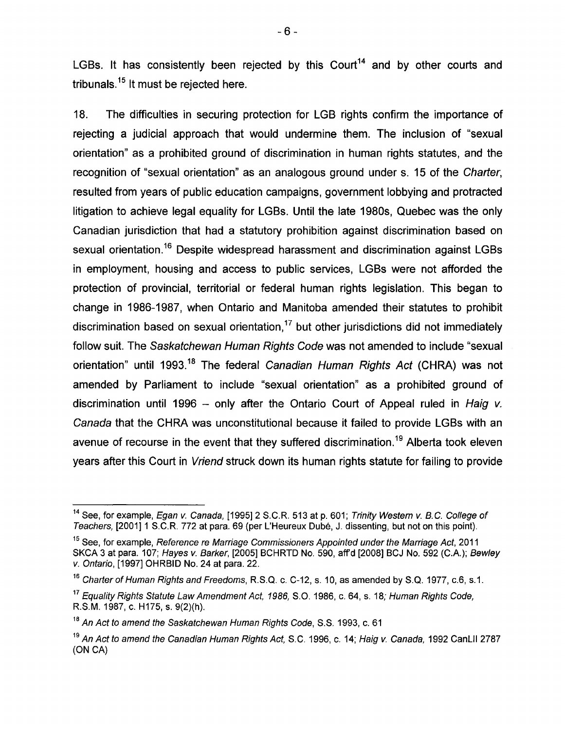LGBs. It has consistently been rejected by this Court<sup>14</sup> and by other courts and tribunals.<sup>15</sup> It must be rejected here.

18. The difficulties in securing protection for LGB rights confirm the importance of rejecting a judicial approach that would undermine them. The inclusion of "sexual orientation" as a prohibited ground of discrimination in human rights statutes, and the recognition of "sexual orientation" as an analogous ground under s. 15 of the Charter, resulted from years of public education campaigns, government lobbying and protracted litigation to achieve legal equality for LGBs. Until the late 1980s, Quebec was the only Canadian jurisdiction that had a statutory prohibition against discrimination based on sexual orientation.<sup>16</sup> Despite widespread harassment and discrimination against LGBs in employment, housing and access to public services, LGBs were not afforded the protection of provincial, territorial or federal human rights legislation. This began to change in 1986-1987, when Ontario and Manitoba amended their statutes to prohibit discrimination based on sexual orientation,<sup>17</sup> but other jurisdictions did not immediately follow suit. The Saskatchewan Human Rights Code was not amended to include "sexual orientation" until 1993.<sup>18</sup> The federal Canadian Human Rights Act (CHRA) was not amended by Parliament to include "sexual orientation" as a prohibited ground of discrimination until 1996 - only after the Ontario Court of Appeal ruled in Haig v. Canada that the CHRA was unconstitutional because it failed to provide LGBs with an avenue of recourse in the event that they suffered discrimination.<sup>19</sup> Alberta took eleven years after this Court in Vriend struck down its human rights statute for failing to provide

<sup>&</sup>lt;sup>14</sup> See, for example, *Egan v. Canada*, [1995] 2 S.C.R. 513 at p. 601; Trinity Western v. B.C. College of Teachers, [2001]1 S.C.R 772 at para. 69 (per L'Heureux Dube, J. dissenting, but not on this point).

<sup>&</sup>lt;sup>15</sup> See, for example, Reference re Marriage Commissioners Appointed under the Marriage Act, 2011 SKCA 3 at para. 107; Hayes v. Barker, [2005] BCHRTD No. 590, aff'd [2008] BCJ No. 592 (C.A.); Bewley v. Ontario, [1997] OHRBID No. 24 at para. 22.

<sup>&</sup>lt;sup>16</sup> Charter of Human Rights and Freedoms, R.S.Q. c. C-12, s. 10, as amended by S.Q. 1977, c.6, s.1.

<sup>&</sup>lt;sup>17</sup> Equality Rights Statute Law Amendment Act, 1986, S.O. 1986, c. 64, s. 18; Human Rights Code, RS.M. 1987, c. H175, s. 9(2)(h).

<sup>&</sup>lt;sup>18</sup> An Act to amend the Saskatchewan Human Rights Code, S.S. 1993, c. 61

<sup>&</sup>lt;sup>19</sup> An Act to amend the Canadian Human Rights Act, S.C. 1996, c. 14; Haig v. Canada, 1992 CanLII 2787 (ON CA)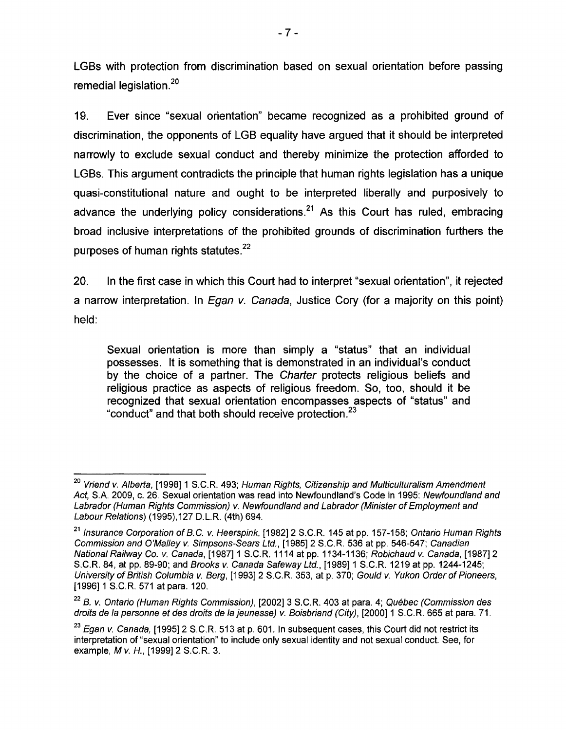LGBs with protection from discrimination based on sexual orientation before passing remedial legislation.<sup>20</sup>

19. Ever since "sexual orientation" became recognized as a prohibited ground of discrimination, the opponents of LGB equality have argued that it should be interpreted narrowly to exclude sexual conduct and thereby minimize the protection afforded to LGBs. This argument contradicts the principle that human rights legislation has a unique quasi-constitutional nature and ought to be interpreted liberally and purposively to advance the underlying policy considerations.<sup>21</sup> As this Court has ruled, embracing broad inclusive interpretations of the prohibited grounds of discrimination furthers the purposes of human rights statutes.<sup>22</sup>

20. In the first case in which this Court had to interpret "sexual orientation", it rejected a narrow interpretation. In *Egan v. Canada*, Justice Cory (for a majority on this point) held:

Sexual orientation is more than simply a "status" that an individual possesses. It is something that is demonstrated in an individual's conduct by the choice of a partner. The Charter protects religious beliefs and religious practice as aspects of religious freedom. So, too, should it be recognized that sexual orientation encompasses aspects of "status" and "conduct" and that both should receive protection.<sup>23</sup>

<sup>&</sup>lt;sup>20</sup> Vriend v. Alberta, [1998] 1 S.C.R. 493; Human Rights, Citizenship and Multiculturalism Amendment Act, S.A. 2009, c. 26. Sexual orientation was read into Newfoundland's Code in 1995: Newfoundland and Labrador (Human Rights Commission) v. Newfoundland and Labrador (Minister of Employment and Labour Relations) (1995),127 D.L.R. (4th) 694.

<sup>&</sup>lt;sup>21</sup> Insurance Corporation of B.C. v. Heerspink, [1982] 2 S.C.R. 145 at pp. 157-158; Ontario Human Rights Commission and O'Malley v. Simpsons-Sears Ltd., [1985]2 S.C.R. 536 at pp. 546-547; Canadian National Railway Co. v. Canada, [1987]1 S.C.R. 1114 at pp. 1134-1136; Robichaud v. Canada, [1987] 2 S.C.R. 84, at pp. 89-90; and Brooks v. Canada Safeway Ltd., [1989]1 S.C.R. 1219 at pp. 1244-1245; University of British Columbia v. Berg, [1993]2 S.C.R. 353, at p. 370; Gould v. Yukon Order of Pioneers, [1996] 1 S.C.R. 571 at para. 120.

<sup>&</sup>lt;sup>22</sup> B. v. Ontario (Human Rights Commission), [2002] 3 S.C.R. 403 at para. 4; Québec (Commission des droits de la personne et des droits de la jeunesse) v. Boisbriand (City), [2000]1 S.C.R. 665 at para. 71.

 $^{23}$  Egan v. Canada, [1995] 2 S.C.R. 513 at p. 601. In subsequent cases, this Court did not restrict its interpretation of "sexual orientation" to include only sexual identity and not sexual conduct. See, for example, M v. H., [1999] 2 S.C.R. 3.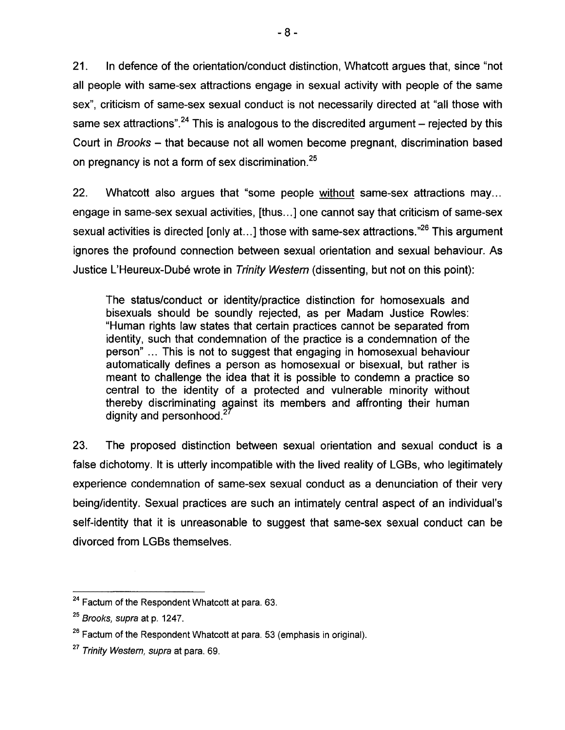21. In defence of the orientation/conduct distinction, Whatcott argues that, since "not all people with same-sex attractions engage in sexual activity with people of the same sex", criticism of same-sex sexual conduct is not necessarily directed at "all those with same sex attractions".<sup>24</sup> This is analogous to the discredited argument – rejected by this Court in Brooks - that because not all women become pregnant, discrimination based on pregnancy is not a form of sex discrimination.<sup>25</sup>

22. Whatcott also argues that "some people without same-sex attractions may... engage in same-sex sexual activities, [thus ... ] one cannot say that criticism of same-sex sexual activities is directed [only at...] those with same-sex attractions.<sup>726</sup> This argument ignores the profound connection between sexual orientation and sexual behaviour. As Justice L'Heureux-Dubé wrote in Trinity Western (dissenting, but not on this point):

The status/conduct or identity/practice distinction for homosexuals and bisexuals should be soundly rejected, as per Madam Justice Rowles: "Human rights law states that certain practices cannot be separated from identity, such that condemnation of the practice is a condemnation of the person" ... This is not to suggest that engaging in homosexual behaviour automatically defines a person as homosexual or bisexual, but rather is meant to challenge the idea that it is possible to condemn a practice so central to the identity of a protected and vulnerable minority without thereby discriminating against its members and affronting their human dignity and personhood.<sup>2</sup>

23. The proposed distinction between sexual orientation and sexual conduct is a false dichotomy. It is utterly incompatible with the lived reality of LGBs, who legitimately experience condemnation of same-sex sexual conduct as a denunciation of their very being/identity. Sexual practices are such an intimately central aspect of an individual's self-identity that it is unreasonable to suggest that same-sex sexual conduct can be divorced from LGBs themselves.

<sup>&</sup>lt;sup>24</sup> Factum of the Respondent Whatcott at para. 63.

<sup>&</sup>lt;sup>25</sup> Brooks, supra at p. 1247.

 $26$  Factum of the Respondent Whatcott at para. 53 (emphasis in original).

*<sup>27</sup>* Trinity Western, supra at para. 69.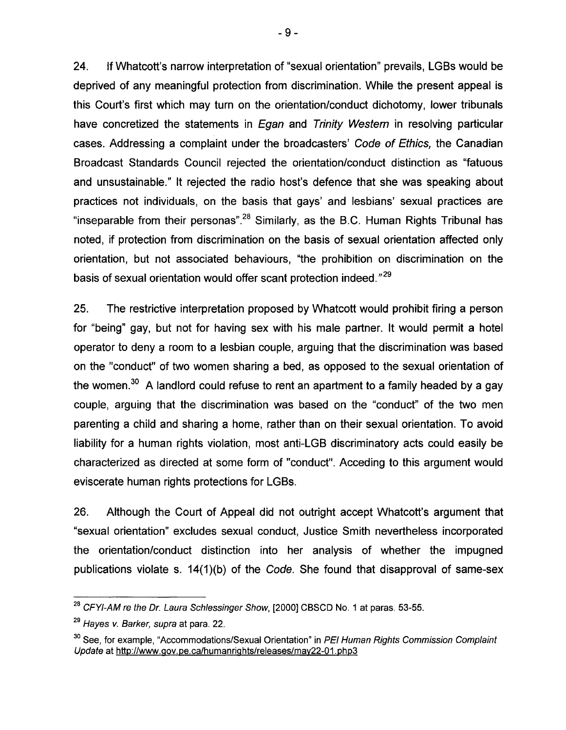24. If Whatcott's narrow interpretation of "sexual orientation" prevails, LGBs would be deprived of any meaningful protection from discrimination. While the present appeal is this Court's first which may turn on the orientation/conduct dichotomy, lower tribunals have concretized the statements in *Egan* and Trinity Western in resolving particular cases. Addressing a complaint under the broadcasters' Code of Ethics, the Canadian Broadcast Standards Council rejected the orientation/conduct distinction as "fatuous and unsustainable." It rejected the radio host's defence that she was speaking about practices not individuals, on the basis that gays' and lesbians' sexual practices are "inseparable from their personas".<sup>28</sup> Similarly, as the B.C. Human Rights Tribunal has noted, if protection from discrimination on the basis of sexual orientation affected only orientation, but not associated behaviours, "the prohibition on discrimination on the basis of sexual orientation would offer scant protection indeed."<sup>29</sup>

25. The restrictive interpretation proposed by Whatcott would prohibit firing a person for "being" gay, but not for having sex with his male partner. It would permit a hotel operator to deny a room to a lesbian couple, arguing that the discrimination was based on the "conduct" of two women sharing a bed, as opposed to the sexual orientation of the women. $30$  A landlord could refuse to rent an apartment to a family headed by a gay couple, arguing that the discrimination was based on the "conduct" of the two men parenting a child and sharing a home, rather than on their sexual orientation. To avoid liability for a human rights violation, most anti-LGB discriminatory acts could easily be characterized as directed at some form of "conduct". Acceding to this argument would eviscerate human rights protections for LGBs.

26. Although the Court of Appeal did not outright accept Whatcott's argument that "sexual orientation" excludes sexual conduct, Justice Smith nevertheless incorporated the orientation/conduct distinction into her analysis of whether the impugned publications violate s. 14(1)(b) of the Code. She found that disapproval of same-sex

<sup>&</sup>lt;sup>28</sup> CFYI-AM re the Dr. Laura Schlessinger Show, [2000] CBSCD No. 1 at paras. 53-55.

<sup>&</sup>lt;sup>29</sup> Hayes *v. Barker, supra* at para. 22.

<sup>&</sup>lt;sup>30</sup> See, for example, "Accommodations/Sexual Orientation" in PEI Human Rights Commission Complaint Update at http://www.gov.pe.ca/humanrights/releases/may22-01.php3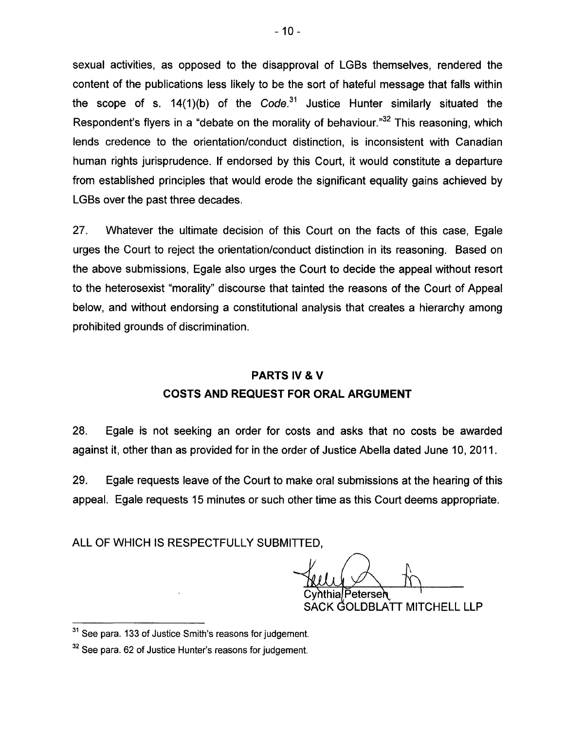sexual activities, as opposed to the disapproval of LGBs themselves, rendered the content of the publications less likely to be the sort of hateful message that falls within the scope of s.  $14(1)(b)$  of the Code.<sup>31</sup> Justice Hunter similarly situated the Respondent's flyers in a "debate on the morality of behaviour."<sup>32</sup> This reasoning, which lends credence to the orientation/conduct distinction, is inconsistent with Canadian human rights jurisprudence. If endorsed by this Court, it would constitute a departure from established principles that would erode the significant equality gains achieved by LGBs over the past three decades.

27. Whatever the ultimate decision of this Court on the facts of this case, Egale urges the Court to reject the orientation/conduct distinction in its reasoning. Based on the above submissions, Egale also urges the Court to decide the appeal without resort to the heterosexist "morality" discourse that tainted the reasons of the Court of Appeal below, and without endorsing a constitutional analysis that creates a hierarchy among prohibited grounds of discrimination.

# **PARTS IV & V COSTS AND REQUEST FOR ORAL ARGUMENT**

28. Egale is not seeking an order for costs and asks that no costs be awarded against it, other than as provided for in the order of Justice Abella dated June 10,2011.

29. Egale requests leave of the Court to make oral submissions at the hearing of this appeal. Egale requests 15 minutes or such other time as this Court deems appropriate.

ALL OF WHICH IS RESPECTFULLY SUBMITTED.

Petersen CK GOLDBLATT MITCHELL LLP

<sup>&</sup>lt;sup>31</sup> See para. 133 of Justice Smith's reasons for judgement.

<sup>&</sup>lt;sup>32</sup> See para. 62 of Justice Hunter's reasons for judgement.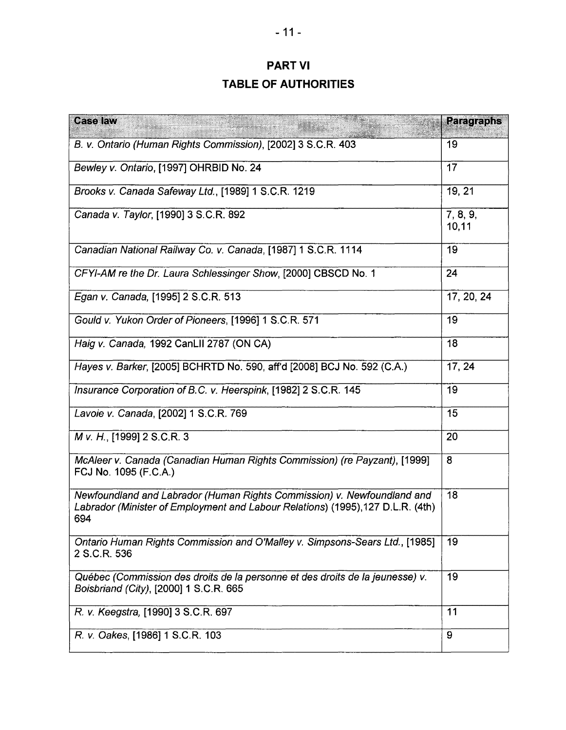# PART VI **TABLE OF AUTHORITIES**

| <b>Case law</b>                                                                                                                                                   | <b>Paragraphs</b> |
|-------------------------------------------------------------------------------------------------------------------------------------------------------------------|-------------------|
| B. v. Ontario (Human Rights Commission), [2002] 3 S.C.R. 403                                                                                                      | 19                |
| Bewley v. Ontario, [1997] OHRBID No. 24                                                                                                                           | 17                |
| Brooks v. Canada Safeway Ltd., [1989] 1 S.C.R. 1219                                                                                                               | 19, 21            |
| Canada v. Taylor, [1990] 3 S.C.R. 892                                                                                                                             | 7, 8, 9,<br>10,11 |
| Canadian National Railway Co. v. Canada, [1987] 1 S.C.R. 1114                                                                                                     | 19                |
| CFYI-AM re the Dr. Laura Schlessinger Show, [2000] CBSCD No. 1                                                                                                    | 24                |
| Egan v. Canada, [1995] 2 S.C.R. 513                                                                                                                               | 17, 20, 24        |
| Gould v. Yukon Order of Pioneers, [1996] 1 S.C.R. 571                                                                                                             | 19                |
| Haig v. Canada, 1992 CanLII 2787 (ON CA)                                                                                                                          | 18                |
| Hayes v. Barker, [2005] BCHRTD No. 590, aff'd [2008] BCJ No. 592 (C.A.)                                                                                           | 17, 24            |
| Insurance Corporation of B.C. v. Heerspink, [1982] 2 S.C.R. 145                                                                                                   | 19                |
| Lavoie v. Canada, [2002] 1 S.C.R. 769                                                                                                                             | 15                |
| M v. H., [1999] 2 S.C.R. 3                                                                                                                                        | 20                |
| McAleer v. Canada (Canadian Human Rights Commission) (re Payzant), [1999]<br>FCJ No. 1095 (F.C.A.)                                                                | 8                 |
| Newfoundland and Labrador (Human Rights Commission) v. Newfoundland and<br>Labrador (Minister of Employment and Labour Relations) (1995), 127 D.L.R. (4th)<br>694 | 18                |
| Ontario Human Rights Commission and O'Malley v. Simpsons-Sears Ltd., [1985]<br>2 S.C.R. 536                                                                       | 19                |
| Québec (Commission des droits de la personne et des droits de la jeunesse) v.<br>Boisbriand (City), [2000] 1 S.C.R. 665                                           | 19                |
| R. v. Keegstra, [1990] 3 S.C.R. 697                                                                                                                               | 11                |
| R. v. Oakes, [1986] 1 S.C.R. 103                                                                                                                                  | 9                 |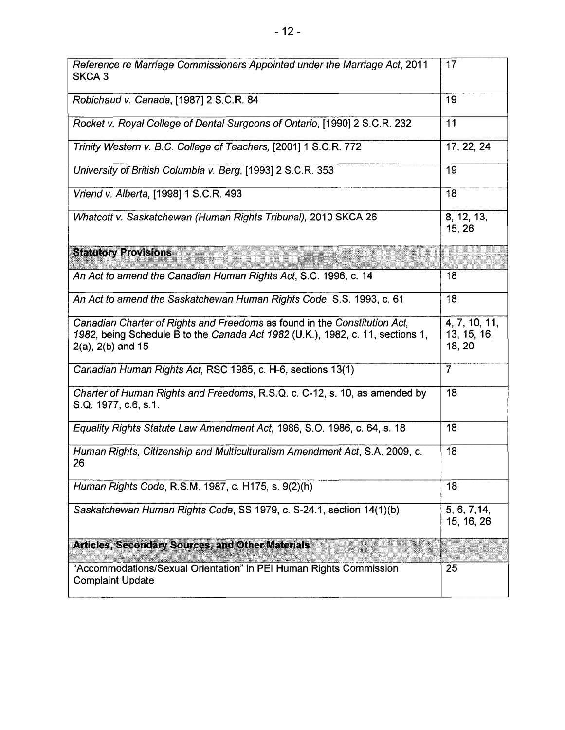| Reference re Marriage Commissioners Appointed under the Marriage Act, 2011<br>SKCA 3                                                                                                  | 17                                     |
|---------------------------------------------------------------------------------------------------------------------------------------------------------------------------------------|----------------------------------------|
| Robichaud v. Canada, [1987] 2 S.C.R. 84                                                                                                                                               | 19                                     |
| Rocket v. Royal College of Dental Surgeons of Ontario, [1990] 2 S.C.R. 232                                                                                                            | 11                                     |
| Trinity Western v. B.C. College of Teachers, [2001] 1 S.C.R. 772                                                                                                                      | 17, 22, 24                             |
| University of British Columbia v. Berg, [1993] 2 S.C.R. 353                                                                                                                           | 19                                     |
| Vriend v. Alberta, [1998] 1 S.C.R. 493                                                                                                                                                | 18                                     |
| Whatcott v. Saskatchewan (Human Rights Tribunal), 2010 SKCA 26                                                                                                                        | 8, 12, 13,<br>15, 26                   |
| <b>Statutory Provisions</b>                                                                                                                                                           |                                        |
| An Act to amend the Canadian Human Rights Act, S.C. 1996, c. 14                                                                                                                       | 18                                     |
| An Act to amend the Saskatchewan Human Rights Code, S.S. 1993, c. 61                                                                                                                  | 18                                     |
| Canadian Charter of Rights and Freedoms as found in the Constitution Act,<br>1982, being Schedule B to the Canada Act 1982 (U.K.), 1982, c. 11, sections 1,<br>$2(a)$ , $2(b)$ and 15 | 4, 7, 10, 11,<br>13, 15, 16,<br>18, 20 |
| Canadian Human Rights Act, RSC 1985, c. H-6, sections 13(1)                                                                                                                           | $\overline{7}$                         |
| Charter of Human Rights and Freedoms, R.S.Q. c. C-12, s. 10, as amended by<br>S.Q. 1977, c.6, s.1.                                                                                    | 18                                     |
| Equality Rights Statute Law Amendment Act, 1986, S.O. 1986, c. 64, s. 18                                                                                                              | 18                                     |
| Human Rights, Citizenship and Multiculturalism Amendment Act, S.A. 2009, c.<br>26                                                                                                     | 18                                     |
| Human Rights Code, R.S.M. 1987, c. H175, s. 9(2)(h)                                                                                                                                   | 18                                     |
| Saskatchewan Human Rights Code, SS 1979, c. S-24.1, section 14(1)(b)                                                                                                                  | 5, 6, 7, 14,<br>15, 16, 26             |
| <b>Articles, Secondary Sources, and Other Materials</b>                                                                                                                               |                                        |
| "Accommodations/Sexual Orientation" in PEI Human Rights Commission<br><b>Complaint Update</b>                                                                                         | 25                                     |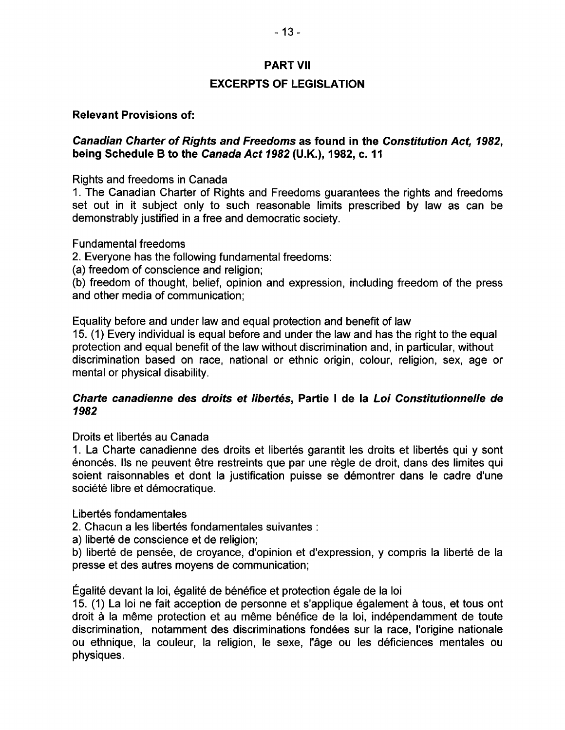# - 13-

### PART VII

### EXCERPTS OF LEGISLATION

### Relevant Provisions of:

### Canadian Charter of Rights and Freedoms as found in the Constitution Act, 1982, being Schedule B to the Canada Act 1982 (U.K.), 1982, c. 11

Rights and freedoms in Canada

1. The Canadian Charter of Rights and Freedoms guarantees the rights and freedoms set out in it subject only to such reasonable limits prescribed by law as can be demonstrably justified in a free and democratic society.

Fundamental freedoms

2. Everyone has the following fundamental freedoms:

(a) freedom of conscience and religion;

(b) freedom of thought, belief, opinion and expression, including freedom of the press and other media of communication;

Equality before and under law and equal protection and benefit of law 15. (1) Every individual is equal before and under the law and has the right to the equal

protection and equal benefit of the law without discrimination and, in particular, without discrimination based on race, national or ethnic origin, colour, religion, sex, age or mental or physical disability.

### Charte canadienne des droits et libertes, Partie I de la Loi Constitutionnelle de 1982

Droits et libertés au Canada

1. La Charte canadienne des droits et libertés garantit les droits et libertés qui y sont énoncés. Ils ne peuvent être restreints que par une règle de droit, dans des limites qui soient raisonnables et dont la justification puisse se démontrer dans le cadre d'une société libre et démocratique.

Libertés fondamentales

2. Chacun a les libertés fondamentales suivantes :

a) liberté de conscience et de religion;

b) liberté de pensée, de croyance, d'opinion et d'expression, y compris la liberté de la presse et des autres moyens de communication;

Egalite devant la loi, egalite de benefice et protection egale de la loi

15. (1) La loi ne fait acception de personne et s'applique également à tous, et tous ont droit à la même protection et au même bénéfice de la loi, indépendamment de toute discrimination, notamment des discriminations fondees sur la race, I'origine nationale ou ethnique, la couleur, la religion, Ie sexe, I'age ou les deficiences mentales ou physiques.